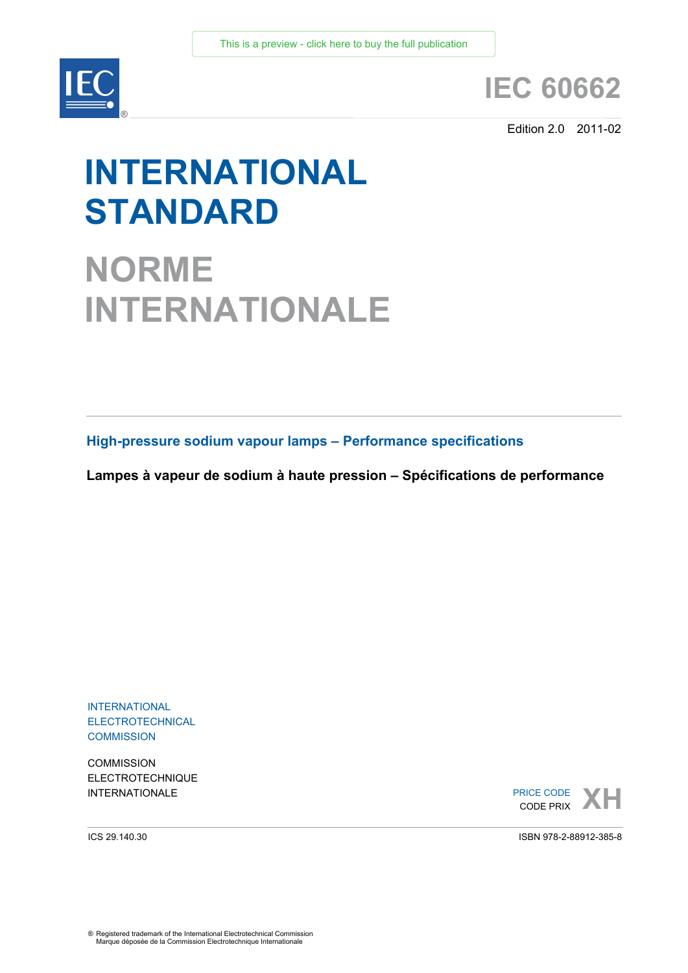

# **IEC 60662**

Edition 2.0 2011-02

# **INTERNATIONAL STANDARD**

**NORME INTERNATIONALE**

**High-pressure sodium vapour lamps – Performance specifications** 

**Lampes à vapeur de sodium à haute pression – Spécifications de performance** 

**INTERNATIONAL** ELECTROTECHNICAL **COMMISSION** 

**COMMISSION** ELECTROTECHNIQUE

INTERNATIONALE **A CODE PRICE CODE** PRICE CODE CODE PRIX

ICS 29.140.30

ISBN 978-2-88912-385-8

® Registered trademark of the International Electrotechnical Commission Marque déposée de la Commission Electrotechnique Internationale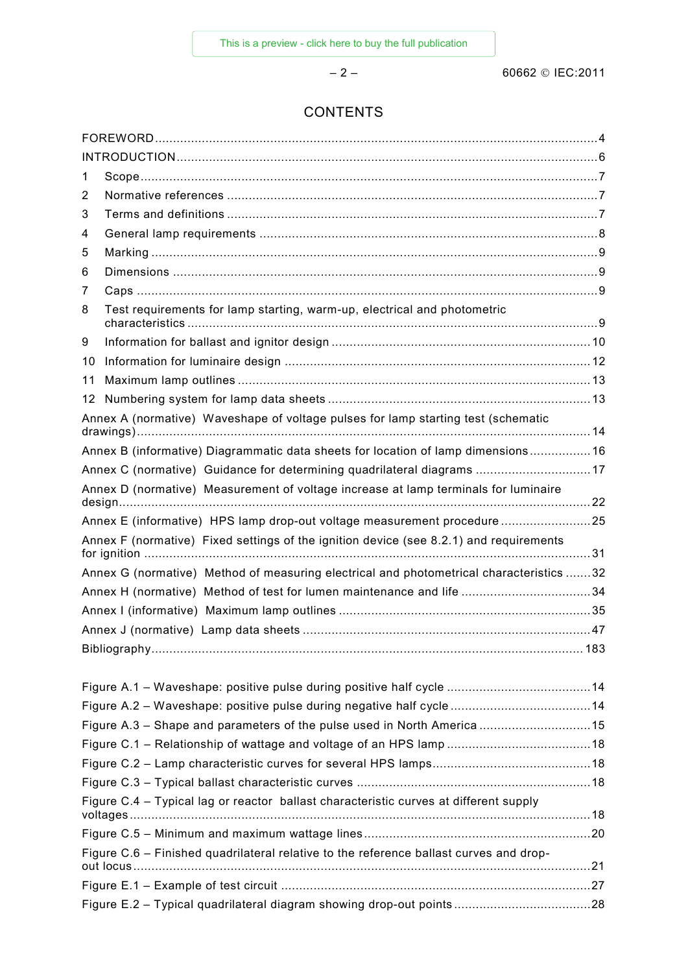# **CONTENTS**

| 1  |                                                                                         |  |
|----|-----------------------------------------------------------------------------------------|--|
| 2  |                                                                                         |  |
| 3  |                                                                                         |  |
| 4  |                                                                                         |  |
| 5  |                                                                                         |  |
| 6  |                                                                                         |  |
| 7  |                                                                                         |  |
| 8  | Test requirements for lamp starting, warm-up, electrical and photometric                |  |
| 9  |                                                                                         |  |
| 10 |                                                                                         |  |
| 11 |                                                                                         |  |
| 12 |                                                                                         |  |
|    | Annex A (normative) Waveshape of voltage pulses for lamp starting test (schematic       |  |
|    | Annex B (informative) Diagrammatic data sheets for location of lamp dimensions 16       |  |
|    | Annex C (normative) Guidance for determining quadrilateral diagrams 17                  |  |
|    | Annex D (normative) Measurement of voltage increase at lamp terminals for luminaire     |  |
|    | Annex E (informative) HPS lamp drop-out voltage measurement procedure25                 |  |
|    | Annex F (normative) Fixed settings of the ignition device (see 8.2.1) and requirements  |  |
|    | Annex G (normative) Method of measuring electrical and photometrical characteristics 32 |  |
|    | Annex H (normative) Method of test for lumen maintenance and life 34                    |  |
|    |                                                                                         |  |
|    |                                                                                         |  |
|    |                                                                                         |  |
|    |                                                                                         |  |
|    |                                                                                         |  |
|    |                                                                                         |  |
|    | Figure A.3 – Shape and parameters of the pulse used in North America 15                 |  |
|    |                                                                                         |  |
|    |                                                                                         |  |
|    |                                                                                         |  |
|    | Figure C.4 - Typical lag or reactor ballast characteristic curves at different supply   |  |
|    |                                                                                         |  |
|    | Figure C.6 - Finished quadrilateral relative to the reference ballast curves and drop-  |  |
|    |                                                                                         |  |
|    |                                                                                         |  |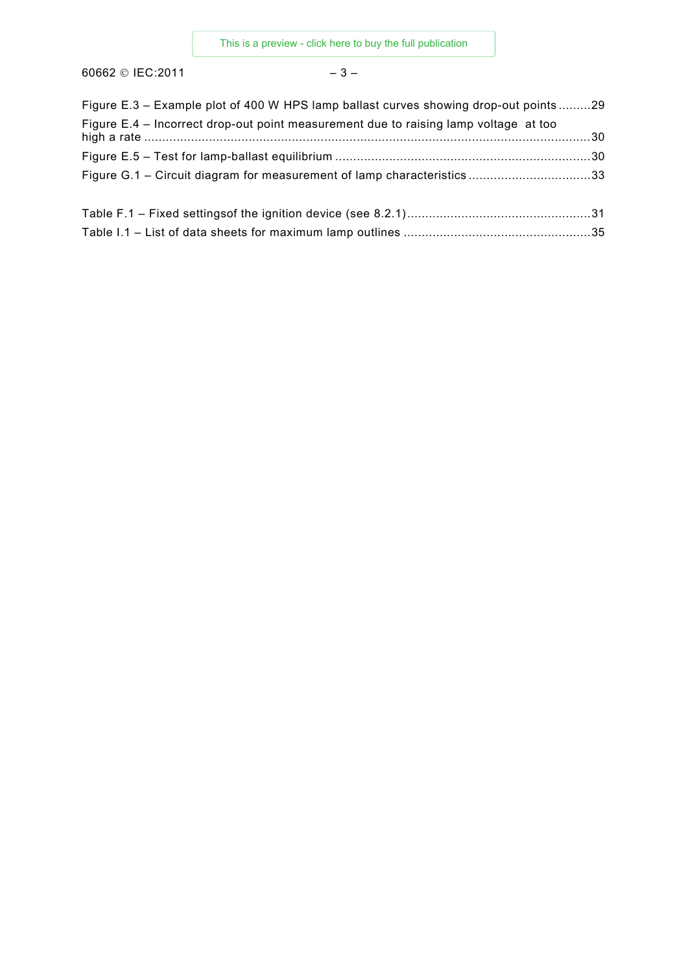$60662$  © IEC:2011 – 3 –

| Figure E.3 - Example plot of 400 W HPS lamp ballast curves showing drop-out points29 |  |
|--------------------------------------------------------------------------------------|--|
| Figure E.4 – Incorrect drop-out point measurement due to raising lamp voltage at too |  |
|                                                                                      |  |
| Figure G.1 – Circuit diagram for measurement of lamp characteristics33               |  |
|                                                                                      |  |
|                                                                                      |  |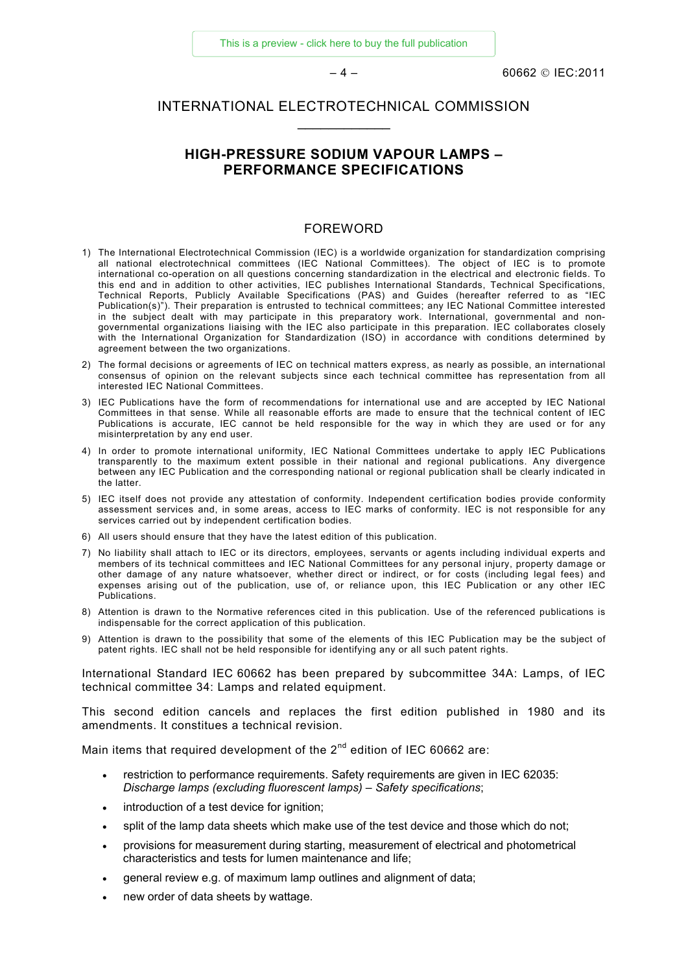$-4 -$  60662 © IFC:2011

## INTERNATIONAL ELECTROTECHNICAL COMMISSION \_\_\_\_\_\_\_\_\_\_\_\_

## **HIGH-PRESSURE SODIUM VAPOUR LAMPS – PERFORMANCE SPECIFICATIONS**

#### FOREWORD

- 1) The International Electrotechnical Commission (IEC) is a worldwide organization for standardization comprising all national electrotechnical committees (IEC National Committees). The object of IEC is to promote international co-operation on all questions concerning standardization in the electrical and electronic fields. To this end and in addition to other activities, IEC publishes International Standards, Technical Specifications, Technical Reports, Publicly Available Specifications (PAS) and Guides (hereafter referred to as "IEC Publication(s)"). Their preparation is entrusted to technical committees; any IEC National Committee interested in the subject dealt with may participate in this preparatory work. International, governmental and nongovernmental organizations liaising with the IEC also participate in this preparation. IEC collaborates closely with the International Organization for Standardization (ISO) in accordance with conditions determined by agreement between the two organizations.
- 2) The formal decisions or agreements of IEC on technical matters express, as nearly as possible, an international consensus of opinion on the relevant subjects since each technical committee has representation from all interested IEC National Committees.
- 3) IEC Publications have the form of recommendations for international use and are accepted by IEC National Committees in that sense. While all reasonable efforts are made to ensure that the technical content of IEC Publications is accurate, IEC cannot be held responsible for the way in which they are used or for any misinterpretation by any end user.
- 4) In order to promote international uniformity, IEC National Committees undertake to apply IEC Publications transparently to the maximum extent possible in their national and regional publications. Any divergence between any IEC Publication and the corresponding national or regional publication shall be clearly indicated in the latter.
- 5) IEC itself does not provide any attestation of conformity. Independent certification bodies provide conformity assessment services and, in some areas, access to IEC marks of conformity. IEC is not responsible for any services carried out by independent certification bodies.
- 6) All users should ensure that they have the latest edition of this publication.
- 7) No liability shall attach to IEC or its directors, employees, servants or agents including individual experts and members of its technical committees and IEC National Committees for any personal injury, property damage or other damage of any nature whatsoever, whether direct or indirect, or for costs (including legal fees) and expenses arising out of the publication, use of, or reliance upon, this IEC Publication or any other IEC Publications.
- 8) Attention is drawn to the Normative references cited in this publication. Use of the referenced publications is indispensable for the correct application of this publication.
- 9) Attention is drawn to the possibility that some of the elements of this IEC Publication may be the subject of patent rights. IEC shall not be held responsible for identifying any or all such patent rights.

International Standard IEC 60662 has been prepared by subcommittee 34A: Lamps, of IEC technical committee 34: Lamps and related equipment.

This second edition cancels and replaces the first edition published in 1980 and its amendments. It constitues a technical revision.

Main items that required development of the  $2^{nd}$  edition of IEC 60662 are:

- restriction to performance requirements. Safety requirements are given in IEC 62035: *Discharge lamps (excluding fluorescent lamps) – Safety specifications*;
- introduction of a test device for ignition;
- split of the lamp data sheets which make use of the test device and those which do not;
- provisions for measurement during starting, measurement of electrical and photometrical characteristics and tests for lumen maintenance and life;
- general review e.g. of maximum lamp outlines and alignment of data;
- <span id="page-3-0"></span>new order of data sheets by wattage.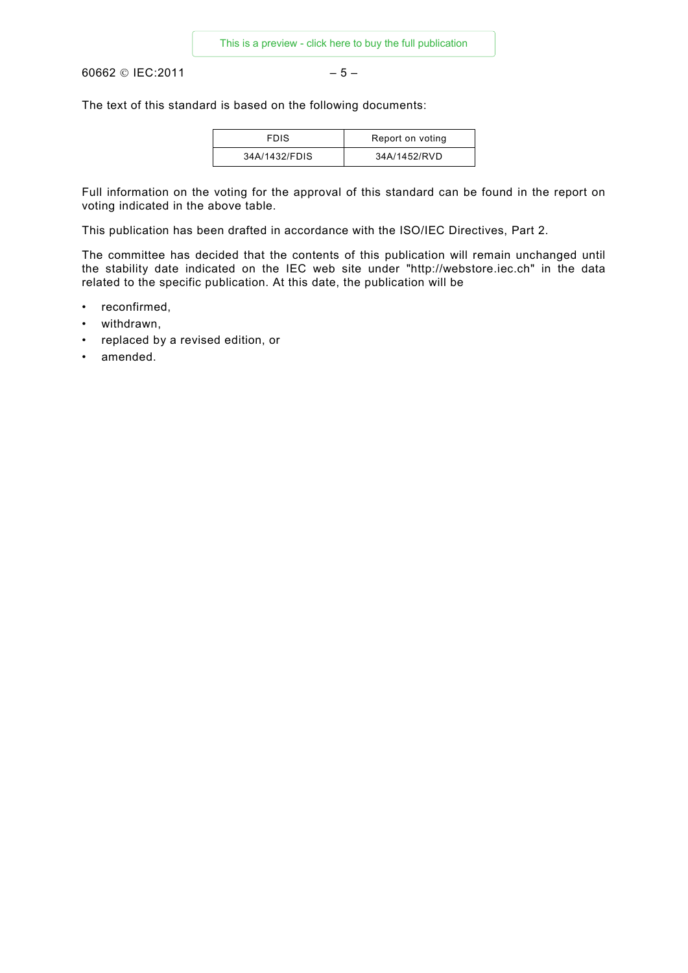60662 © IEC:2011 – 5 –

The text of this standard is based on the following documents:

| <b>FDIS</b>   | Report on voting |  |  |  |
|---------------|------------------|--|--|--|
| 34A/1432/FDIS | 34A/1452/RVD     |  |  |  |

Full information on the voting for the approval of this standard can be found in the report on voting indicated in the above table.

This publication has been drafted in accordance with the ISO/IEC Directives, Part 2.

The committee has decided that the contents of this publication will remain unchanged until the stability date indicated on the IEC web site under "http://webstore.iec.ch" in the data related to the specific publication. At this date, the publication will be

- reconfirmed,
- withdrawn,
- replaced by a revised edition, or
- amended.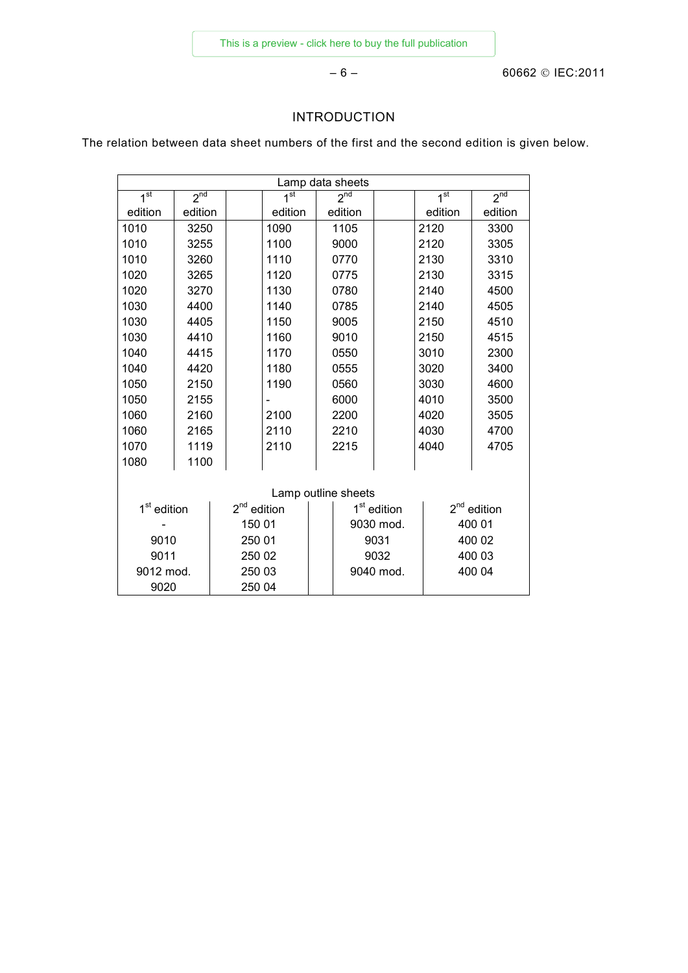$-6 -$  60662 © IEC:2011

# INTRODUCTION

The relation between data sheet numbers of the first and the second edition is given below.

| Lamp data sheets        |                 |               |                 |      |                     |                         |                 |                 |  |
|-------------------------|-----------------|---------------|-----------------|------|---------------------|-------------------------|-----------------|-----------------|--|
| 1 <sup>st</sup>         | 2 <sup>nd</sup> |               | 1 <sup>st</sup> |      | 2 <sup>nd</sup>     |                         | 1 <sup>st</sup> | 2 <sup>nd</sup> |  |
| edition                 | edition         |               | edition         |      | edition             |                         | edition         | edition         |  |
| 1010                    | 3250            |               | 1090            |      | 1105                |                         | 2120            | 3300            |  |
| 1010                    | 3255            |               | 1100            |      | 9000                |                         | 2120            | 3305            |  |
| 1010                    | 3260            |               | 1110            |      | 0770                |                         | 2130            | 3310            |  |
| 1020                    | 3265            |               | 1120            |      | 0775                |                         | 2130            | 3315            |  |
| 1020                    | 3270            |               | 1130            |      | 0780                |                         | 2140            | 4500            |  |
| 1030                    | 4400            |               | 1140            |      | 0785                |                         | 2140            | 4505            |  |
| 1030                    | 4405            |               | 1150            |      | 9005                |                         | 2150            | 4510            |  |
| 1030                    | 4410            |               | 1160            |      | 9010                |                         | 2150            | 4515            |  |
| 1040                    | 4415            |               | 1170            |      | 0550                |                         | 3010            | 2300            |  |
| 1040                    | 4420            |               | 1180            | 0555 |                     |                         | 3020            | 3400            |  |
| 1050                    | 2150            |               | 1190            |      | 0560                |                         | 3030            | 4600            |  |
| 1050                    | 2155            |               |                 |      | 6000                |                         | 4010            | 3500            |  |
| 1060                    | 2160            |               | 2100            |      | 2200                |                         | 4020            | 3505            |  |
| 1060                    | 2165            |               | 2110            | 2210 |                     |                         | 4030            | 4700            |  |
| 1070                    | 1119            |               | 2110            | 2215 |                     |                         | 4040            | 4705            |  |
| 1080                    | 1100            |               |                 |      |                     |                         |                 |                 |  |
|                         |                 |               |                 |      |                     |                         |                 |                 |  |
|                         |                 |               |                 |      | Lamp outline sheets |                         |                 |                 |  |
| 1 <sup>st</sup> edition |                 | $2nd$ edition |                 |      |                     | 1 <sup>st</sup> edition | $2nd$ edition   |                 |  |
|                         |                 | 150 01        |                 |      | 9030 mod.           |                         | 400 01          |                 |  |
| 9010                    |                 | 250 01        |                 |      |                     | 9031                    |                 | 400 02          |  |
| 9011                    |                 | 250 02        |                 |      | 9032                |                         | 400 03          |                 |  |
| 9012 mod.               |                 | 250 03        |                 |      | 9040 mod.           |                         | 400 04          |                 |  |
| 9020                    |                 | 250 04        |                 |      |                     |                         |                 |                 |  |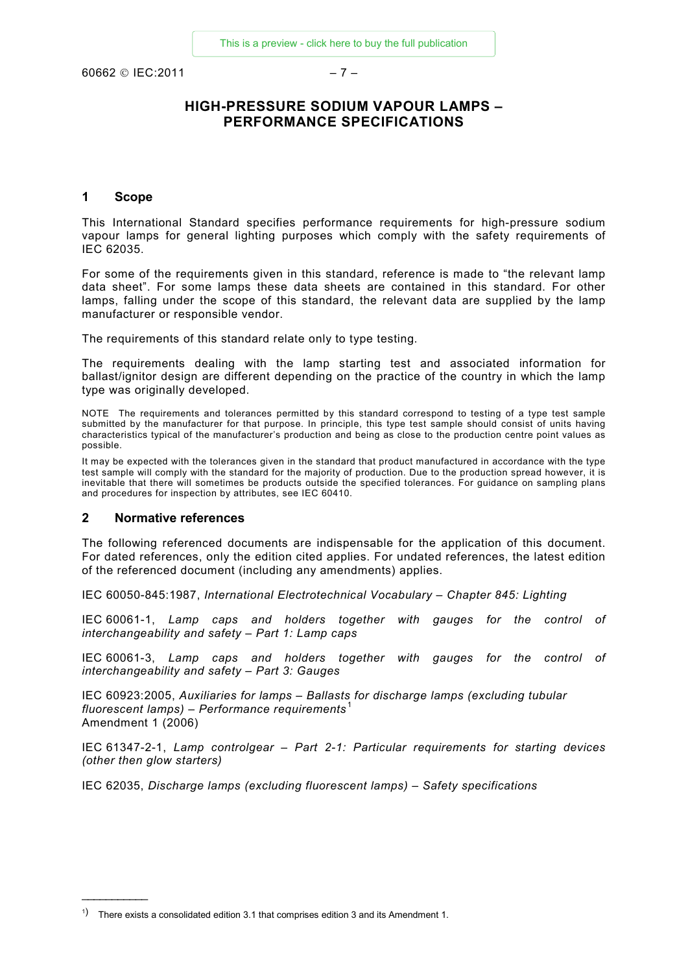$60662$  © IFC:2011 – 7 –

# **HIGH-PRESSURE SODIUM VAPOUR LAMPS – PERFORMANCE SPECIFICATIONS**

#### **1 Scope**

This International Standard specifies performance requirements for high-pressure sodium vapour lamps for general lighting purposes which comply with the safety requirements of IEC 62035.

For some of the requirements given in this standard, reference is made to "the relevant lamp data sheet". For some lamps these data sheets are contained in this standard. For other lamps, falling under the scope of this standard, the relevant data are supplied by the lamp manufacturer or responsible vendor.

The requirements of this standard relate only to type testing.

The requirements dealing with the lamp starting test and associated information for ballast/ignitor design are different depending on the practice of the country in which the lamp type was originally developed.

NOTE The requirements and tolerances permitted by this standard correspond to testing of a type test sample submitted by the manufacturer for that purpose. In principle, this type test sample should consist of units having characteristics typical of the manufacturer's production and being as close to the production centre point values as possible.

It may be expected with the tolerances given in the standard that product manufactured in accordance with the type test sample will comply with the standard for the majority of production. Due to the production spread however, it is inevitable that there will sometimes be products outside the specified tolerances. For guidance on sampling plans and procedures for inspection by attributes, see IEC 60410.

#### **2 Normative references**

 $\overline{\phantom{a}}$ 

The following referenced documents are indispensable for the application of this document. For dated references, only the edition cited applies. For undated references, the latest edition of the referenced document (including any amendments) applies.

IEC 60050-845:1987, *International Electrotechnical Vocabulary – Chapter 845: Lighting*

IEC 60061-1, *Lamp caps and holders together with gauges for the control of interchangeability and safety – Part 1: Lamp caps*

IEC 60061-3, *Lamp caps and holders together with gauges for the control of interchangeability and safety – Part 3: Gauges*

IEC 60923:2005, *Auxiliaries for lamps – Ballasts for discharge lamps (excluding tubular fluorescent lamps) – Performance requirements* [1](#page-3-0) Amendment 1 (2006)

IEC 61347-2-1, *Lamp controlgear – Part 2-1: Particular requirements for starting devices (other then glow starters)*

IEC 62035, *Discharge lamps (excluding fluorescent lamps) – Safety specifications*

<sup>&</sup>lt;sup>1</sup>) There exists a consolidated edition 3.1 that comprises edition 3 and its Amendment 1.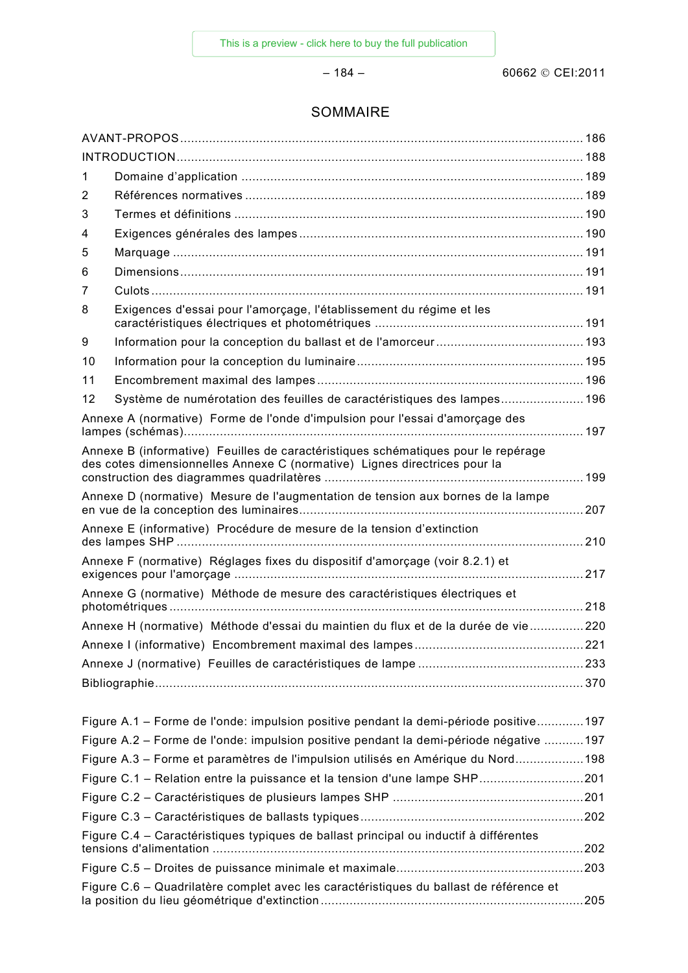# SOMMAIRE

| 1  |                                                                                                                                                                |  |
|----|----------------------------------------------------------------------------------------------------------------------------------------------------------------|--|
| 2  |                                                                                                                                                                |  |
| 3  |                                                                                                                                                                |  |
| 4  |                                                                                                                                                                |  |
| 5  |                                                                                                                                                                |  |
| 6  |                                                                                                                                                                |  |
| 7  |                                                                                                                                                                |  |
| 8  | Exigences d'essai pour l'amorçage, l'établissement du régime et les                                                                                            |  |
| 9  |                                                                                                                                                                |  |
| 10 |                                                                                                                                                                |  |
| 11 |                                                                                                                                                                |  |
| 12 | Système de numérotation des feuilles de caractéristiques des lampes 196                                                                                        |  |
|    | Annexe A (normative) Forme de l'onde d'impulsion pour l'essai d'amorçage des                                                                                   |  |
|    | Annexe B (informative) Feuilles de caractéristiques schématiques pour le repérage<br>des cotes dimensionnelles Annexe C (normative) Lignes directrices pour la |  |
|    | Annexe D (normative) Mesure de l'augmentation de tension aux bornes de la lampe                                                                                |  |
|    | Annexe E (informative) Procédure de mesure de la tension d'extinction                                                                                          |  |
|    | Annexe F (normative) Réglages fixes du dispositif d'amorçage (voir 8.2.1) et                                                                                   |  |
|    | Annexe G (normative) Méthode de mesure des caractéristiques électriques et                                                                                     |  |
|    | Annexe H (normative) Méthode d'essai du maintien du flux et de la durée de vie 220                                                                             |  |
|    |                                                                                                                                                                |  |
|    |                                                                                                                                                                |  |
|    |                                                                                                                                                                |  |
|    | Figure A.1 – Forme de l'onde: impulsion positive pendant la demi-période positive197                                                                           |  |
|    | Figure A.2 – Forme de l'onde: impulsion positive pendant la demi-période négative 197                                                                          |  |
|    | Figure A.3 - Forme et paramètres de l'impulsion utilisés en Amérique du Nord198                                                                                |  |
|    | Figure C.1 - Relation entre la puissance et la tension d'une lampe SHP201                                                                                      |  |
|    |                                                                                                                                                                |  |
|    |                                                                                                                                                                |  |
|    | Figure C.4 - Caractéristiques typiques de ballast principal ou inductif à différentes                                                                          |  |
|    |                                                                                                                                                                |  |
|    | Figure C.6 - Quadrilatère complet avec les caractéristiques du ballast de référence et                                                                         |  |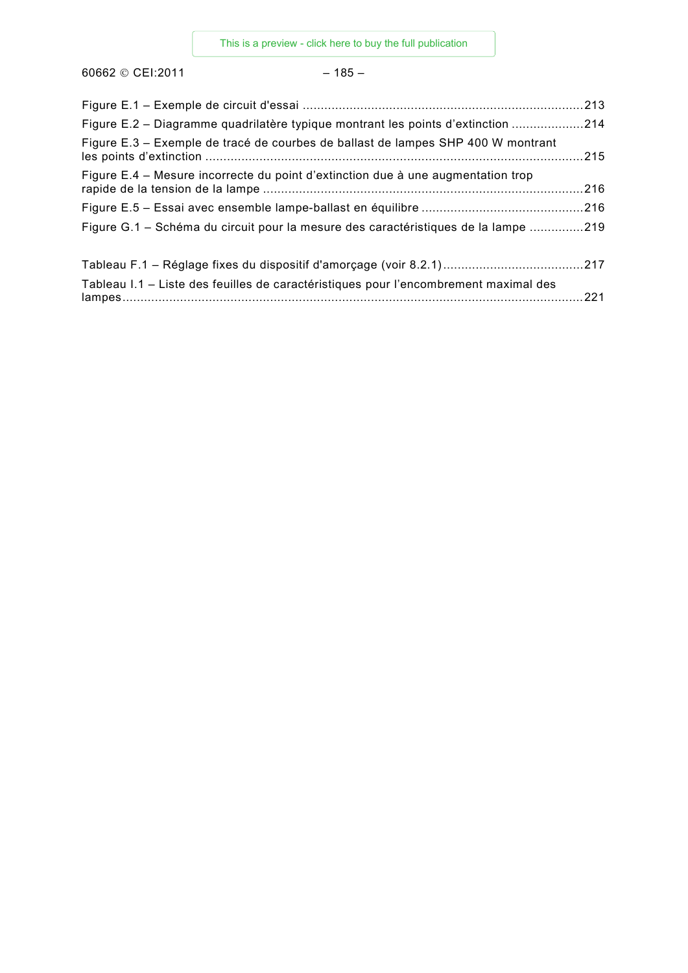60662 © CEI:2011 - 185 -

| Figure E.2 – Diagramme quadrilatère typique montrant les points d'extinction 214     |  |
|--------------------------------------------------------------------------------------|--|
| Figure E.3 – Exemple de tracé de courbes de ballast de lampes SHP 400 W montrant     |  |
| Figure E.4 – Mesure incorrecte du point d'extinction due à une augmentation trop     |  |
|                                                                                      |  |
| Figure G.1 – Schéma du circuit pour la mesure des caractéristiques de la lampe 219   |  |
|                                                                                      |  |
| Tableau I.1 – Liste des feuilles de caractéristiques pour l'encombrement maximal des |  |

lampes................................................................................................................................221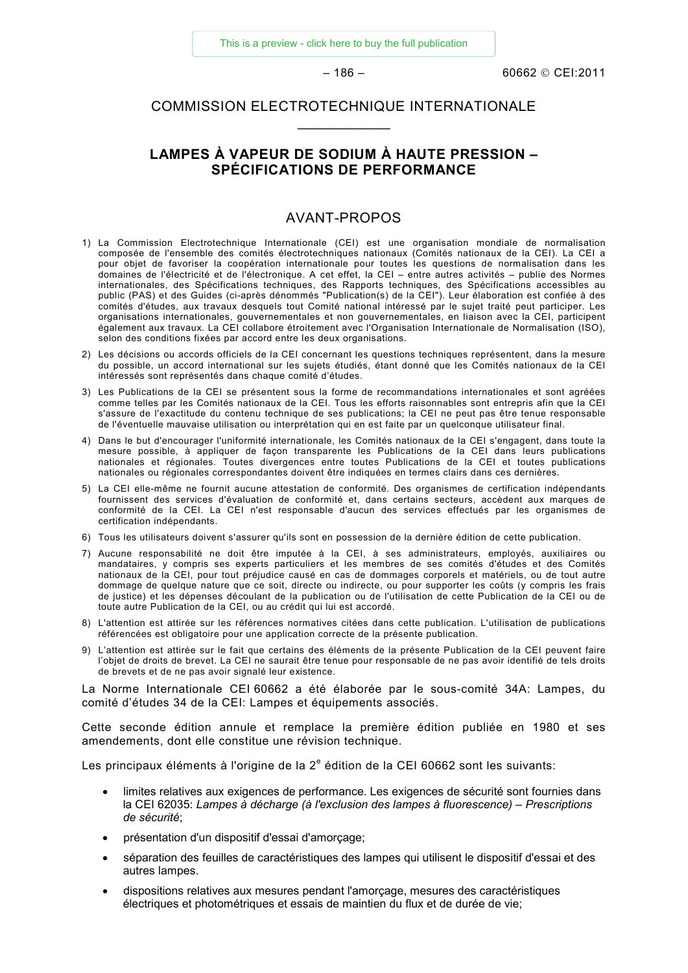– 186 – 60662 CEI:2011

# COMMISSION ELECTROTECHNIQUE INTERNATIONALE \_\_\_\_\_\_\_\_\_\_\_\_

# **LAMPES À VAPEUR DE SODIUM À HAUTE PRESSION – SPÉCIFICATIONS DE PERFORMANCE**

### AVANT-PROPOS

- 1) La Commission Electrotechnique Internationale (CEI) est une organisation mondiale de normalisation composée de l'ensemble des comités électrotechniques nationaux (Comités nationaux de la CEI). La CEI a pour objet de favoriser la coopération internationale pour toutes les questions de normalisation dans les domaines de l'électricité et de l'électronique. A cet effet, la CEI – entre autres activités – publie des Normes internationales, des Spécifications techniques, des Rapports techniques, des Spécifications accessibles au public (PAS) et des Guides (ci-après dénommés "Publication(s) de la CEI"). Leur élaboration est confiée à des comités d'études, aux travaux desquels tout Comité national intéressé par le sujet traité peut participer. Les organisations internationales, gouvernementales et non gouvernementales, en liaison avec la CEI, participent également aux travaux. La CEI collabore étroitement avec l'Organisation Internationale de Normalisation (ISO), selon des conditions fixées par accord entre les deux organisations.
- 2) Les décisions ou accords officiels de la CEI concernant les questions techniques représentent, dans la mesure du possible, un accord international sur les sujets étudiés, étant donné que les Comités nationaux de la CEI intéressés sont représentés dans chaque comité d'études.
- 3) Les Publications de la CEI se présentent sous la forme de recommandations internationales et sont agréées comme telles par les Comités nationaux de la CEI. Tous les efforts raisonnables sont entrepris afin que la CEI s'assure de l'exactitude du contenu technique de ses publications; la CEI ne peut pas être tenue responsable de l'éventuelle mauvaise utilisation ou interprétation qui en est faite par un quelconque utilisateur final.
- 4) Dans le but d'encourager l'uniformité internationale, les Comités nationaux de la CEI s'engagent, dans toute la mesure possible, à appliquer de façon transparente les Publications de la CEI dans leurs publications nationales et régionales. Toutes divergences entre toutes Publications de la CEI et toutes publications nationales ou régionales correspondantes doivent être indiquées en termes clairs dans ces dernières.
- 5) La CEI elle-même ne fournit aucune attestation de conformité. Des organismes de certification indépendants fournissent des services d'évaluation de conformité et, dans certains secteurs, accèdent aux marques de conformité de la CEI. La CEI n'est responsable d'aucun des services effectués par les organismes de certification indépendants.
- 6) Tous les utilisateurs doivent s'assurer qu'ils sont en possession de la dernière édition de cette publication.
- 7) Aucune responsabilité ne doit être imputée à la CEI, à ses administrateurs, employés, auxiliaires ou mandataires, y compris ses experts particuliers et les membres de ses comités d'études et des Comités nationaux de la CEI, pour tout préjudice causé en cas de dommages corporels et matériels, ou de tout autre dommage de quelque nature que ce soit, directe ou indirecte, ou pour supporter les coûts (y compris les frais de justice) et les dépenses découlant de la publication ou de l'utilisation de cette Publication de la CEI ou de toute autre Publication de la CEI, ou au crédit qui lui est accordé.
- 8) L'attention est attirée sur les références normatives citées dans cette publication. L'utilisation de publications référencées est obligatoire pour une application correcte de la présente publication.
- 9) L'attention est attirée sur le fait que certains des éléments de la présente Publication de la CEI peuvent faire l'objet de droits de brevet. La CEI ne saurait être tenue pour responsable de ne pas avoir identifié de tels droits de brevets et de ne pas avoir signalé leur existence.

La Norme Internationale CEI 60662 a été élaborée par le sous-comité 34A: Lampes, du comité d'études 34 de la CEI: Lampes et équipements associés.

Cette seconde édition annule et remplace la première édition publiée en 1980 et ses amendements, dont elle constitue une révision technique.

Les principaux éléments à l'origine de la  $2^e$  édition de la CEI 60662 sont les suivants:

- limites relatives aux exigences de performance. Les exigences de sécurité sont fournies dans la CEI 62035: *Lampes à décharge (à l'exclusion des lampes à fluorescence) – Prescriptions de sécurité*;
- présentation d'un dispositif d'essai d'amorçage;
- séparation des feuilles de caractéristiques des lampes qui utilisent le dispositif d'essai et des autres lampes.
- <span id="page-9-0"></span>• dispositions relatives aux mesures pendant l'amorçage, mesures des caractéristiques électriques et photométriques et essais de maintien du flux et de durée de vie;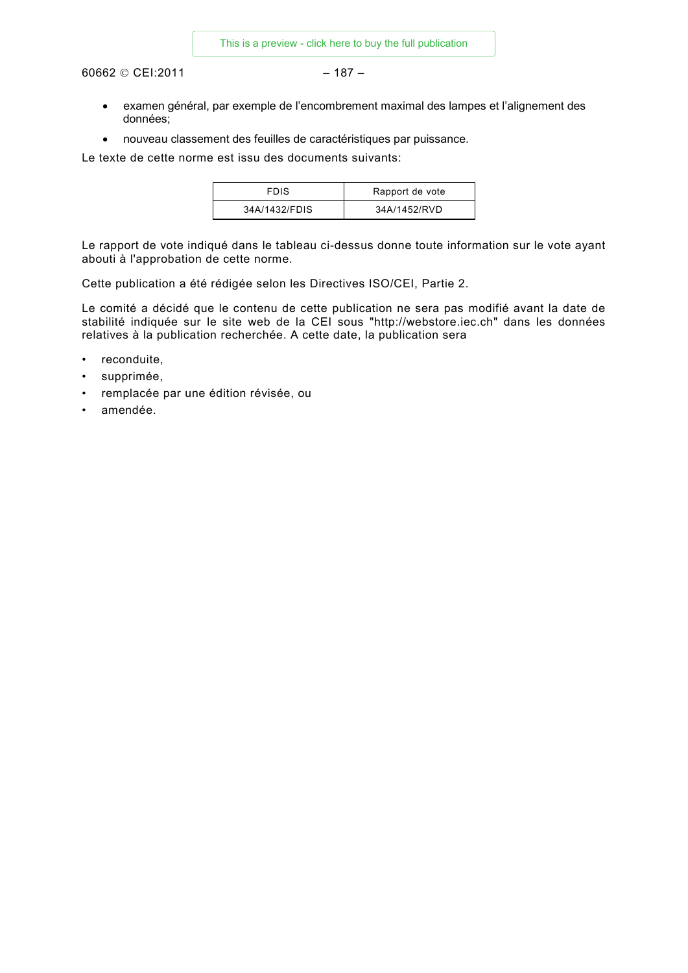60662 © CEI:2011 - 187 -

- examen général, par exemple de l'encombrement maximal des lampes et l'alignement des données;
- nouveau classement des feuilles de caractéristiques par puissance.

Le texte de cette norme est issu des documents suivants:

| <b>FDIS</b>   | Rapport de vote |
|---------------|-----------------|
| 34A/1432/FDIS | 34A/1452/RVD    |

Le rapport de vote indiqué dans le tableau ci-dessus donne toute information sur le vote ayant abouti à l'approbation de cette norme.

Cette publication a été rédigée selon les Directives ISO/CEI, Partie 2.

Le comité a décidé que le contenu de cette publication ne sera pas modifié avant la date de stabilité indiquée sur le site web de la CEI sous "http://webstore.iec.ch" dans les données relatives à la publication recherchée. A cette date, la publication sera

- reconduite,
- supprimée,
- remplacée par une édition révisée, ou
- amendée.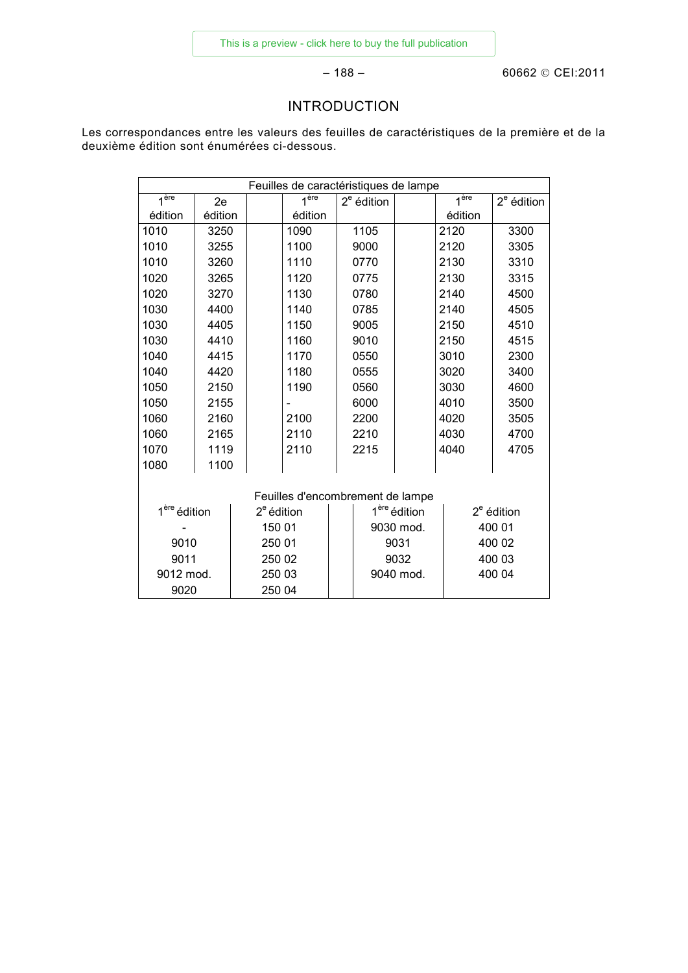– 188 – 60662 CEI:2011

### INTRODUCTION

Les correspondances entre les valeurs des feuilles de caractéristiques de la première et de la deuxième édition sont énumérées ci-dessous.

| Feuilles de caractéristiques de lampe |         |        |                  |      |                          |  |                  |              |  |
|---------------------------------------|---------|--------|------------------|------|--------------------------|--|------------------|--------------|--|
| 1 <sup>ère</sup>                      | 2e      |        | 1 <sup>êre</sup> |      | $2e$ édition             |  | 1 <sup>ère</sup> | $2e$ édition |  |
| édition                               | édition |        | édition          |      |                          |  | édition          |              |  |
| 1010                                  | 3250    |        | 1090             |      | 1105                     |  | 2120             | 3300         |  |
| 1010                                  | 3255    |        | 1100             |      | 9000                     |  | 2120             | 3305         |  |
| 1010                                  | 3260    |        | 1110             |      | 0770                     |  | 2130             | 3310         |  |
| 1020                                  | 3265    |        | 1120             |      | 0775                     |  | 2130             | 3315         |  |
| 1020                                  | 3270    |        | 1130             |      | 0780                     |  | 2140             | 4500         |  |
| 1030                                  | 4400    |        | 1140             |      | 0785                     |  | 2140             | 4505         |  |
| 1030                                  | 4405    |        | 1150             |      | 9005                     |  | 2150             | 4510         |  |
| 1030                                  | 4410    |        | 1160             |      | 9010                     |  | 2150             | 4515         |  |
| 1040                                  | 4415    |        | 1170             |      | 0550                     |  | 3010             | 2300         |  |
| 1040                                  | 4420    |        | 1180             |      | 0555                     |  | 3020             | 3400         |  |
| 1050                                  | 2150    |        | 1190             | 0560 |                          |  | 3030             | 4600         |  |
| 1050                                  | 2155    |        |                  |      | 6000                     |  | 4010             | 3500         |  |
| 1060                                  | 2160    |        | 2100             |      | 2200                     |  | 4020             | 3505         |  |
| 1060                                  | 2165    |        | 2110             |      | 2210                     |  | 4030             | 4700         |  |
| 1070                                  | 1119    |        | 2110             |      | 2215                     |  | 4040             | 4705         |  |
| 1080                                  | 1100    |        |                  |      |                          |  |                  |              |  |
| Feuilles d'encombrement de lampe      |         |        |                  |      |                          |  |                  |              |  |
| 1 <sup>ère</sup> édition              |         |        | $2^e$ édition    |      | 1 <sup>ère</sup> édition |  | $2^e$ édition    |              |  |
|                                       |         | 150 01 |                  |      | 9030 mod.                |  | 400 01           |              |  |
| 9010                                  |         | 250 01 |                  |      | 9031                     |  | 400 02           |              |  |
| 9011                                  |         | 250 02 |                  |      | 9032                     |  | 400 03           |              |  |
| 9012 mod.                             |         | 250 03 |                  |      | 9040 mod.                |  |                  | 400 04       |  |
| 9020                                  |         | 250 04 |                  |      |                          |  |                  |              |  |